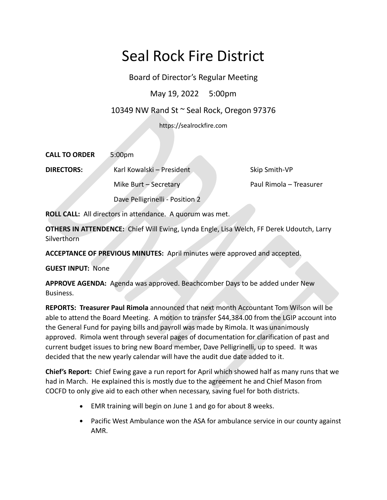# Seal Rock Fire District

Board of Director's Regular Meeting

May 19, 2022 5:00pm

# 10349 NW Rand St ~ Seal Rock, Oregon 97376

https://sealrockfire.com

| <b>CALL TO ORDER</b> | 5:00 <sub>pm</sub>              |                         |
|----------------------|---------------------------------|-------------------------|
| <b>DIRECTORS:</b>    | Karl Kowalski - President       | Skip Smith-VP           |
|                      | Mike Burt $-$ Secretary         | Paul Rimola - Treasurer |
|                      | Dave Pelligrinelli - Position 2 |                         |

**ROLL CALL:** All directors in attendance. A quorum was met.

**OTHERS IN ATTENDENCE:** Chief Will Ewing, Lynda Engle, Lisa Welch, FF Derek Udoutch, Larry Silverthorn<sup>®</sup>

**ACCEPTANCE OF PREVIOUS MINUTES:** April minutes were approved and accepted.

**GUEST INPUT:** None

**APPROVE AGENDA:** Agenda was approved. Beachcomber Days to be added under New Business.

**REPORTS: Treasurer Paul Rimola** announced that next month Accountant Tom Wilson will be able to attend the Board Meeting. A motion to transfer \$44,384.00 from the LGIP account into the General Fund for paying bills and payroll was made by Rimola. It was unanimously approved. Rimola went through several pages of documentation for clarification of past and current budget issues to bring new Board member, Dave Pelligrinelli, up to speed. It was decided that the new yearly calendar will have the audit due date added to it.

**Chief's Report:** Chief Ewing gave a run report for April which showed half as many runs that we had in March. He explained this is mostly due to the agreement he and Chief Mason from COCFD to only give aid to each other when necessary, saving fuel for both districts.

- EMR training will begin on June 1 and go for about 8 weeks.
- Pacific West Ambulance won the ASA for ambulance service in our county against AMR.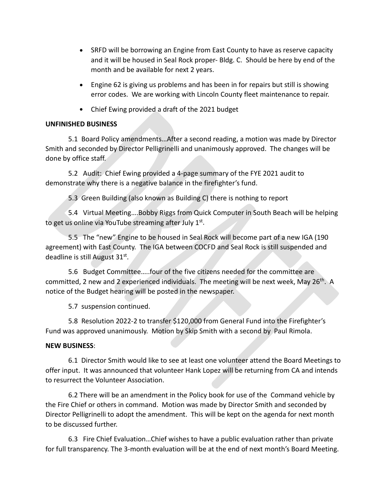- SRFD will be borrowing an Engine from East County to have as reserve capacity and it will be housed in Seal Rock proper- Bldg. C. Should be here by end of the month and be available for next 2 years.
- Engine 62 is giving us problems and has been in for repairs but still is showing error codes. We are working with Lincoln County fleet maintenance to repair.
- Chief Ewing provided a draft of the 2021 budget

## **UNFINISHED BUSINESS**

5.1 Board Policy amendments…After a second reading, a motion was made by Director Smith and seconded by Director Pelligrinelli and unanimously approved. The changes will be done by office staff.

5.2 Audit: Chief Ewing provided a 4-page summary of the FYE 2021 audit to demonstrate why there is a negative balance in the firefighter's fund.

5.3 Green Building (also known as Building C) there is nothing to report

5.4 Virtual Meeting….Bobby Riggs from Quick Computer in South Beach will be helping to get us online via YouTube streaming after July 1<sup>st</sup>.

5.5 The "new" Engine to be housed in Seal Rock will become part of a new IGA (190 agreement) with East County. The IGA between COCFD and Seal Rock is still suspended and deadline is still August 31st.

5.6 Budget Committee…..four of the five citizens needed for the committee are committed, 2 new and 2 experienced individuals. The meeting will be next week, May  $26^{th}$ . A notice of the Budget hearing will be posted in the newspaper.

5.7 suspension continued.

5.8 Resolution 2022-2 to transfer \$120,000 from General Fund into the Firefighter's Fund was approved unanimously. Motion by Skip Smith with a second by Paul Rimola.

#### **NEW BUSINESS**:

6.1 Director Smith would like to see at least one volunteer attend the Board Meetings to offer input. It was announced that volunteer Hank Lopez will be returning from CA and intends to resurrect the Volunteer Association.

6.2 There will be an amendment in the Policy book for use of the Command vehicle by the Fire Chief or others in command. Motion was made by Director Smith and seconded by Director Pelligrinelli to adopt the amendment. This will be kept on the agenda for next month to be discussed further.

6.3 Fire Chief Evaluation…Chief wishes to have a public evaluation rather than private for full transparency. The 3-month evaluation will be at the end of next month's Board Meeting.